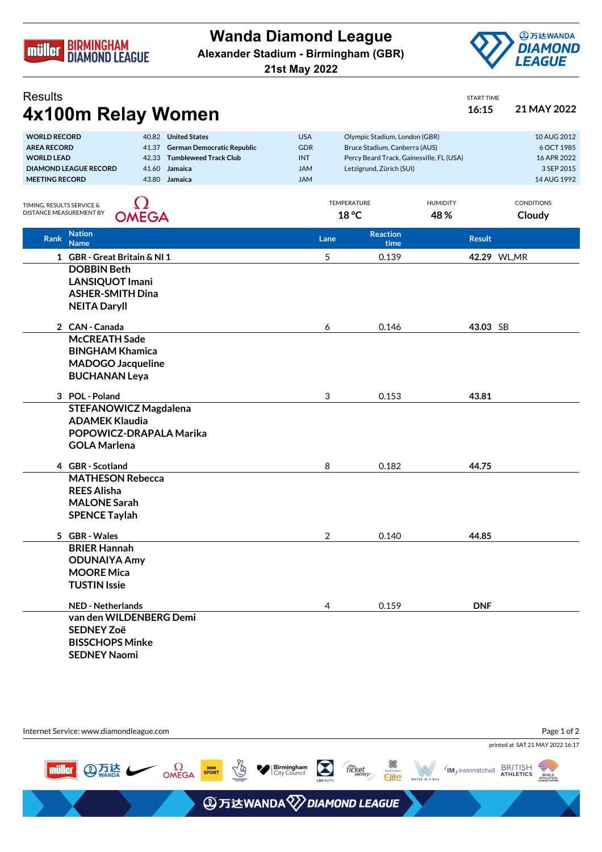

**Wanda Diamond League**

**Alexander Stadium - Birmingham (GBR)**

**21st May 2022**



START TIME

## **Results 4x100m Relay Women 16:15 16:15 16:15 21 MAY 2022**

|                                         |                                                                                           | J            |               |                          |                                             |                                                                           |                 |              |                           |
|-----------------------------------------|-------------------------------------------------------------------------------------------|--------------|---------------|--------------------------|---------------------------------------------|---------------------------------------------------------------------------|-----------------|--------------|---------------------------|
| <b>WORLD RECORD</b>                     | 40.82 United States                                                                       |              |               |                          | <b>USA</b><br>Olympic Stadium, London (GBR) |                                                                           |                 |              | 10 AUG 2012               |
| <b>AREA RECORD</b><br><b>WORLD LEAD</b> | 41.37 German Democratic Republic                                                          |              |               | <b>GDR</b><br><b>INT</b> |                                             | Bruce Stadium, Canberra (AUS)<br>Percy Beard Track, Gainesville, FL (USA) |                 |              | 6 OCT 1985<br>16 APR 2022 |
|                                         | <b>Tumbleweed Track Club</b><br>42.33<br><b>DIAMOND LEAGUE RECORD</b><br>41.60<br>Jamaica |              |               | <b>JAM</b>               |                                             | Letzigrund, Zürich (SUI)                                                  |                 |              | 3 SEP 2015                |
| <b>MEETING RECORD</b>                   |                                                                                           |              | 43.80 Jamaica | <b>JAM</b>               |                                             |                                                                           |                 |              | 14 AUG 1992               |
|                                         |                                                                                           |              |               |                          |                                             |                                                                           |                 |              |                           |
| TIMING, RESULTS SERVICE &               |                                                                                           |              |               |                          |                                             | TEMPERATURE                                                               | <b>HUMIDITY</b> |              | <b>CONDITIONS</b>         |
| DISTANCE MEASUREMENT BY                 |                                                                                           | <b>OMEGA</b> |               |                          |                                             | 18 °C                                                                     | 48%             |              | Cloudy                    |
| Rank                                    | <b>Nation</b>                                                                             |              |               |                          | Lane                                        | <b>Reaction</b>                                                           | <b>Result</b>   |              |                           |
|                                         | <b>Name</b>                                                                               |              |               |                          |                                             | time                                                                      |                 |              |                           |
|                                         | 1 GBR - Great Britain & NI 1                                                              |              |               |                          | 5                                           | 0.139                                                                     |                 | 42.29 WL, MR |                           |
|                                         | <b>DOBBIN Beth</b>                                                                        |              |               |                          |                                             |                                                                           |                 |              |                           |
|                                         | <b>LANSIQUOT Imani</b>                                                                    |              |               |                          |                                             |                                                                           |                 |              |                           |
|                                         | <b>ASHER-SMITH Dina</b>                                                                   |              |               |                          |                                             |                                                                           |                 |              |                           |
|                                         | <b>NEITA Daryll</b>                                                                       |              |               |                          |                                             |                                                                           |                 |              |                           |
|                                         | 2 CAN - Canada                                                                            |              |               |                          | 6                                           | 0.146                                                                     |                 | 43.03 SB     |                           |
|                                         | <b>McCREATH Sade</b>                                                                      |              |               |                          |                                             |                                                                           |                 |              |                           |
|                                         | <b>BINGHAM Khamica</b>                                                                    |              |               |                          |                                             |                                                                           |                 |              |                           |
|                                         | <b>MADOGO Jacqueline</b>                                                                  |              |               |                          |                                             |                                                                           |                 |              |                           |
|                                         | <b>BUCHANAN Leya</b>                                                                      |              |               |                          |                                             |                                                                           |                 |              |                           |
|                                         | 3 POL - Poland                                                                            |              |               |                          | 3                                           | 0.153                                                                     | 43.81           |              |                           |
|                                         | <b>STEFANOWICZ Magdalena</b>                                                              |              |               |                          |                                             |                                                                           |                 |              |                           |
|                                         | <b>ADAMEK Klaudia</b>                                                                     |              |               |                          |                                             |                                                                           |                 |              |                           |
|                                         | POPOWICZ-DRAPALA Marika                                                                   |              |               |                          |                                             |                                                                           |                 |              |                           |
|                                         | <b>GOLA Marlena</b>                                                                       |              |               |                          |                                             |                                                                           |                 |              |                           |
|                                         |                                                                                           |              |               |                          |                                             |                                                                           |                 |              |                           |
|                                         | 4 GBR - Scotland                                                                          |              |               |                          | 8                                           | 0.182                                                                     | 44.75           |              |                           |
|                                         | <b>MATHESON Rebecca</b>                                                                   |              |               |                          |                                             |                                                                           |                 |              |                           |
|                                         | <b>REES Alisha</b>                                                                        |              |               |                          |                                             |                                                                           |                 |              |                           |
|                                         | <b>MALONE Sarah</b>                                                                       |              |               |                          |                                             |                                                                           |                 |              |                           |
|                                         | <b>SPENCE Taylah</b>                                                                      |              |               |                          |                                             |                                                                           |                 |              |                           |
|                                         | 5 GBR - Wales                                                                             |              |               |                          | 2                                           | 0.140                                                                     | 44.85           |              |                           |
|                                         | <b>BRIER Hannah</b>                                                                       |              |               |                          |                                             |                                                                           |                 |              |                           |
|                                         | <b>ODUNAIYA Amy</b>                                                                       |              |               |                          |                                             |                                                                           |                 |              |                           |
|                                         | <b>MOORE Mica</b>                                                                         |              |               |                          |                                             |                                                                           |                 |              |                           |
|                                         | <b>TUSTIN Issie</b>                                                                       |              |               |                          |                                             |                                                                           |                 |              |                           |
|                                         | <b>NED - Netherlands</b>                                                                  |              |               |                          | 4                                           | 0.159                                                                     | <b>DNF</b>      |              |                           |
|                                         | van den WILDENBERG Demi                                                                   |              |               |                          |                                             |                                                                           |                 |              |                           |
|                                         | <b>SEDNEY Zoë</b>                                                                         |              |               |                          |                                             |                                                                           |                 |              |                           |
|                                         | <b>BISSCHOPS Minke</b>                                                                    |              |               |                          |                                             |                                                                           |                 |              |                           |
|                                         | <b>SEDNEY Naomi</b>                                                                       |              |               |                          |                                             |                                                                           |                 |              |                           |